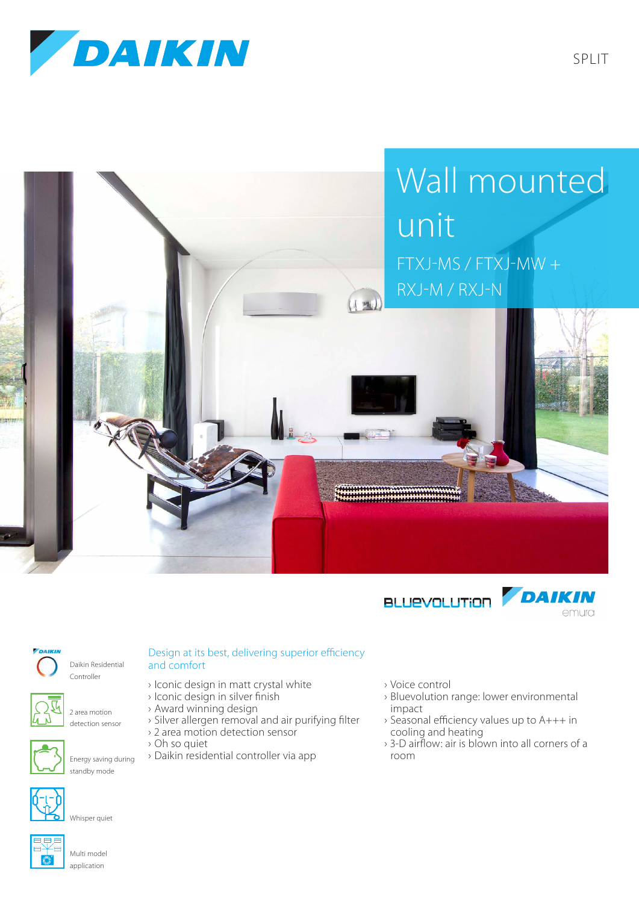







Daikin Residential Controller



2 area motion detection sensor



Energy saving during standby mode



Whisper quiet



Multi model application

## Design at its best, delivering superior efficiency and comfort

- › Iconic design in matt crystal white
- › Iconic design in silver finish
- › Award winning design
- › Silver allergen removal and air purifying filter
- › 2 area motion detection sensor
- › Oh so quiet
- › Daikin residential controller via app
- › Voice control
- › Bluevolution range: lower environmental impact
- › Seasonal efficiency values up to A+++ in cooling and heating
- › 3-D airflow: air is blown into all corners of a room